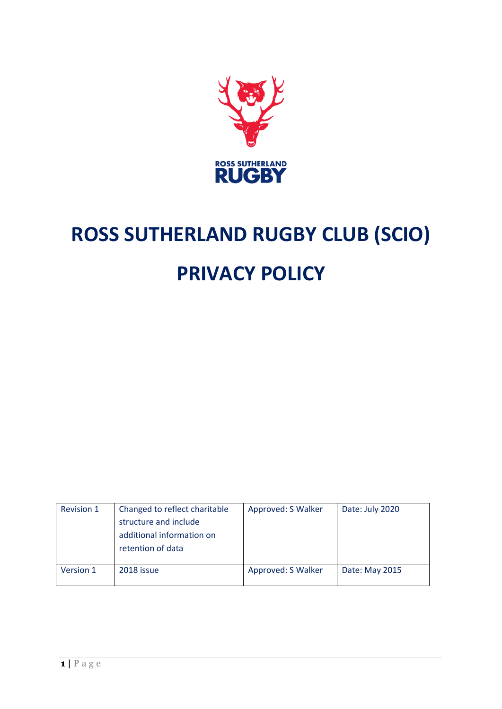

# **ROSS SUTHERLAND RUGBY CLUB (SCIO) PRIVACY POLICY**

| <b>Revision 1</b> | Changed to reflect charitable<br>structure and include<br>additional information on<br>retention of data | Approved: S Walker | Date: July 2020 |
|-------------------|----------------------------------------------------------------------------------------------------------|--------------------|-----------------|
| Version 1         | 2018 issue                                                                                               | Approved: S Walker | Date: May 2015  |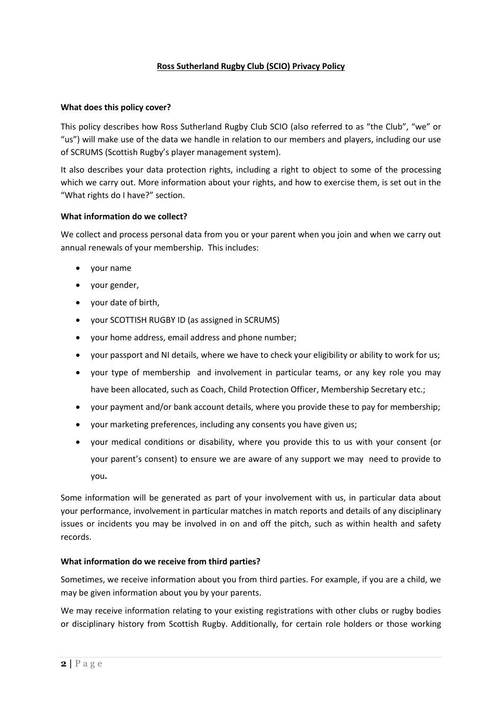# **Ross Sutherland Rugby Club (SCIO) Privacy Policy**

#### **What does this policy cover?**

This policy describes how Ross Sutherland Rugby Club SCIO (also referred to as "the Club", "we" or "us") will make use of the data we handle in relation to our members and players, including our use of SCRUMS (Scottish Rugby's player management system).

It also describes your data protection rights, including a right to object to some of the processing which we carry out. More information about your rights, and how to exercise them, is set out in the "What rights do I have?" section.

# **What information do we collect?**

We collect and process personal data from you or your parent when you join and when we carry out annual renewals of your membership. This includes:

- your name
- your gender,
- vour date of birth.
- your SCOTTISH RUGBY ID (as assigned in SCRUMS)
- your home address, email address and phone number;
- your passport and NI details, where we have to check your eligibility or ability to work for us;
- your type of membership and involvement in particular teams, or any key role you may have been allocated, such as Coach, Child Protection Officer, Membership Secretary etc.;
- your payment and/or bank account details, where you provide these to pay for membership;
- your marketing preferences, including any consents you have given us;
- your medical conditions or disability, where you provide this to us with your consent (or your parent's consent) to ensure we are aware of any support we may need to provide to you**.**

Some information will be generated as part of your involvement with us, in particular data about your performance, involvement in particular matches in match reports and details of any disciplinary issues or incidents you may be involved in on and off the pitch, such as within health and safety records.

# **What information do we receive from third parties?**

Sometimes, we receive information about you from third parties. For example, if you are a child, we may be given information about you by your parents.

We may receive information relating to your existing registrations with other clubs or rugby bodies or disciplinary history from Scottish Rugby. Additionally, for certain role holders or those working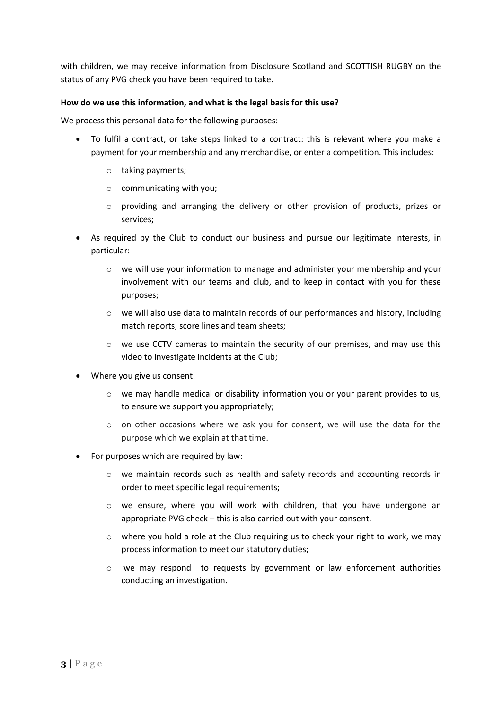with children, we may receive information from Disclosure Scotland and SCOTTISH RUGBY on the status of any PVG check you have been required to take.

#### **How do we use this information, and what is the legal basis for this use?**

We process this personal data for the following purposes:

- To fulfil a contract, or take steps linked to a contract: this is relevant where you make a payment for your membership and any merchandise, or enter a competition. This includes:
	- o taking payments;
	- o communicating with you;
	- $\circ$  providing and arranging the delivery or other provision of products, prizes or services;
- As required by the Club to conduct our business and pursue our legitimate interests, in particular:
	- o we will use your information to manage and administer your membership and your involvement with our teams and club, and to keep in contact with you for these purposes;
	- $\circ$  we will also use data to maintain records of our performances and history, including match reports, score lines and team sheets;
	- o we use CCTV cameras to maintain the security of our premises, and may use this video to investigate incidents at the Club;
- Where you give us consent:
	- o we may handle medical or disability information you or your parent provides to us, to ensure we support you appropriately;
	- o on other occasions where we ask you for consent, we will use the data for the purpose which we explain at that time.
- For purposes which are required by law:
	- o we maintain records such as health and safety records and accounting records in order to meet specific legal requirements;
	- $\circ$  we ensure, where you will work with children, that you have undergone an appropriate PVG check – this is also carried out with your consent.
	- $\circ$  where you hold a role at the Club requiring us to check your right to work, we may process information to meet our statutory duties;
	- o we may respond to requests by government or law enforcement authorities conducting an investigation.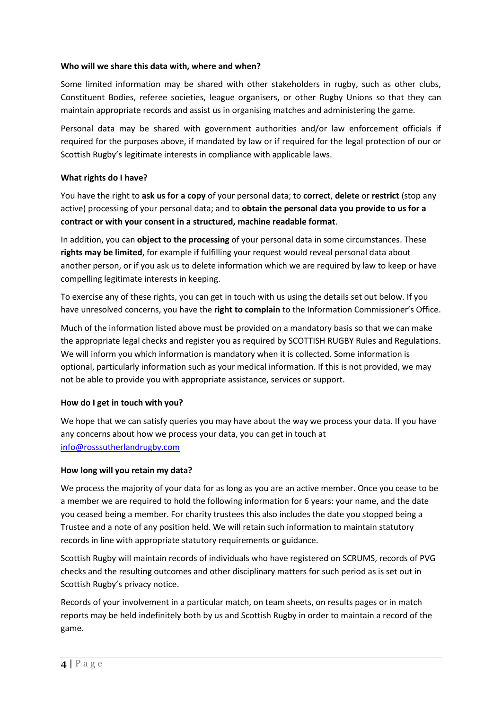#### **Who will we share this data with, where and when?**

Some limited information may be shared with other stakeholders in rugby, such as other clubs, Constituent Bodies, referee societies, league organisers, or other Rugby Unions so that they can maintain appropriate records and assist us in organising matches and administering the game.

Personal data may be shared with government authorities and/or law enforcement officials if required for the purposes above, if mandated by law or if required for the legal protection of our or Scottish Rugby's legitimate interests in compliance with applicable laws.

### **What rights do I have?**

You have the right to **ask us for a copy** of your personal data; to **correct**, **delete** or **restrict** (stop any active) processing of your personal data; and to **obtain the personal data you provide to us for a contract or with your consent in a structured, machine readable format**.

In addition, you can **object to the processing** of your personal data in some circumstances. These **rights may be limited**, for example if fulfilling your request would reveal personal data about another person, or if you ask us to delete information which we are required by law to keep or have compelling legitimate interests in keeping.

To exercise any of these rights, you can get in touch with us using the details set out below. If you have unresolved concerns, you have the **right to complain** to the Information Commissioner's Office.

Much of the information listed above must be provided on a mandatory basis so that we can make the appropriate legal checks and register you as required by SCOTTISH RUGBY Rules and Regulations. We will inform you which information is mandatory when it is collected. Some information is optional, particularly information such as your medical information. If this is not provided, we may not be able to provide you with appropriate assistance, services or support.

# **How do I get in touch with you?**

We hope that we can satisfy queries you may have about the way we process your data. If you have any concerns about how we process your data, you can get in touch at [info@rosssutherlandrugby.com](mailto:info@rosssutherlandrugby.com)

#### **How long will you retain my data?**

We process the majority of your data for as long as you are an active member. Once you cease to be a member we are required to hold the following information for 6 years: your name, and the date you ceased being a member. For charity trustees this also includes the date you stopped being a Trustee and a note of any position held. We will retain such information to maintain statutory records in line with appropriate statutory requirements or guidance.

Scottish Rugby will maintain records of individuals who have registered on SCRUMS, records of PVG checks and the resulting outcomes and other disciplinary matters for such period as is set out in Scottish Rugby's privacy notice.

Records of your involvement in a particular match, on team sheets, on results pages or in match reports may be held indefinitely both by us and Scottish Rugby in order to maintain a record of the game.